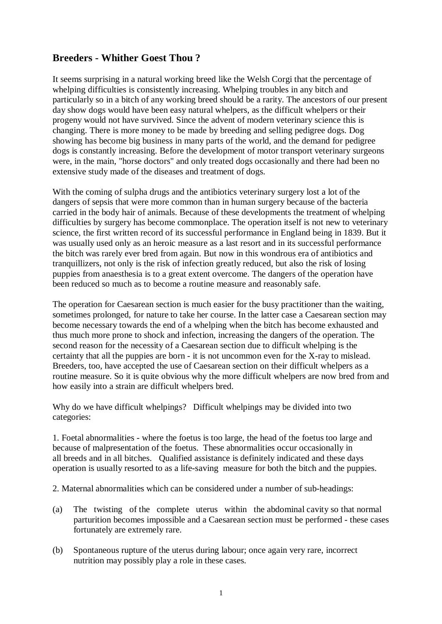## **Breeders - Whither Goest Thou ?**

It seems surprising in a natural working breed like the Welsh Corgi that the percentage of whelping difficulties is consistently increasing. Whelping troubles in any bitch and particularly so in a bitch of any working breed should be a rarity. The ancestors of our present day show dogs would have been easy natural whelpers, as the difficult whelpers or their progeny would not have survived. Since the advent of modern veterinary science this is changing. There is more money to be made by breeding and selling pedigree dogs. Dog showing has become big business in many parts of the world, and the demand for pedigree dogs is constantly increasing. Before the development of motor transport veterinary surgeons were, in the main, "horse doctors" and only treated dogs occasionally and there had been no extensive study made of the diseases and treatment of dogs.

With the coming of sulpha drugs and the antibiotics veterinary surgery lost a lot of the dangers of sepsis that were more common than in human surgery because of the bacteria carried in the body hair of animals. Because of these developments the treatment of whelping difficulties by surgery has become commonplace. The operation itself is not new to veterinary science, the first written record of its successful performance in England being in 1839. But it was usually used only as an heroic measure as a last resort and in its successful performance the bitch was rarely ever bred from again. But now in this wondrous era of antibiotics and tranquillizers, not only is the risk of infection greatly reduced, but also the risk of losing puppies from anaesthesia is to a great extent overcome. The dangers of the operation have been reduced so much as to become a routine measure and reasonably safe.

The operation for Caesarean section is much easier for the busy practitioner than the waiting, sometimes prolonged, for nature to take her course. In the latter case a Caesarean section may become necessary towards the end of a whelping when the bitch has become exhausted and thus much more prone to shock and infection, increasing the dangers of the operation. The second reason for the necessity of a Caesarean section due to difficult whelping is the certainty that all the puppies are born - it is not uncommon even for the X-ray to mislead. Breeders, too, have accepted the use of Caesarean section on their difficult whelpers as a routine measure. So it is quite obvious why the more difficult whelpers are now bred from and how easily into a strain are difficult whelpers bred.

Why do we have difficult whelpings? Difficult whelpings may be divided into two categories:

1. Foetal abnormalities - where the foetus is too large, the head of the foetus too large and because of malpresentation of the foetus. These abnormalities occur occasionally in all breeds and in all bitches. Qualified assistance is definitely indicated and these days operation is usually resorted to as a life-saving measure for both the bitch and the puppies.

2. Maternal abnormalities which can be considered under a number of sub-headings:

- (a) The twisting of the complete uterus within the abdominal cavity so that normal parturition becomes impossible and a Caesarean section must be performed - these cases fortunately are extremely rare.
- (b) Spontaneous rupture of the uterus during labour; once again very rare, incorrect nutrition may possibly play a role in these cases.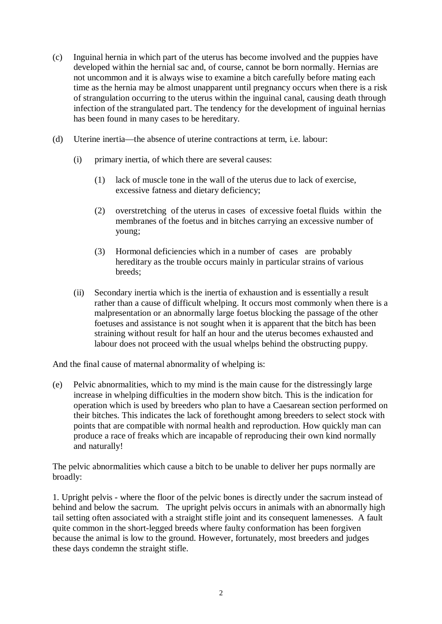- (c) Inguinal hernia in which part of the uterus has become involved and the puppies have developed within the hernial sac and, of course, cannot be born normally. Hernias are not uncommon and it is always wise to examine a bitch carefully before mating each time as the hernia may be almost unapparent until pregnancy occurs when there is a risk of strangulation occurring to the uterus within the inguinal canal, causing death through infection of the strangulated part. The tendency for the development of inguinal hernias has been found in many cases to be hereditary.
- (d) Uterine inertia—the absence of uterine contractions at term, i.e. labour:
	- (i) primary inertia, of which there are several causes:
		- (1) lack of muscle tone in the wall of the uterus due to lack of exercise, excessive fatness and dietary deficiency;
		- (2) overstretching of the uterus in cases of excessive foetal fluids within the membranes of the foetus and in bitches carrying an excessive number of young;
		- (3) Hormonal deficiencies which in a number of cases are probably hereditary as the trouble occurs mainly in particular strains of various breeds;
	- (ii) Secondary inertia which is the inertia of exhaustion and is essentially a result rather than a cause of difficult whelping. It occurs most commonly when there is a malpresentation or an abnormally large foetus blocking the passage of the other foetuses and assistance is not sought when it is apparent that the bitch has been straining without result for half an hour and the uterus becomes exhausted and labour does not proceed with the usual whelps behind the obstructing puppy.

And the final cause of maternal abnormality of whelping is:

(e) Pelvic abnormalities, which to my mind is the main cause for the distressingly large increase in whelping difficulties in the modern show bitch. This is the indication for operation which is used by breeders who plan to have a Caesarean section performed on their bitches. This indicates the lack of forethought among breeders to select stock with points that are compatible with normal health and reproduction. How quickly man can produce a race of freaks which are incapable of reproducing their own kind normally and naturally!

The pelvic abnormalities which cause a bitch to be unable to deliver her pups normally are broadly:

1. Upright pelvis - where the floor of the pelvic bones is directly under the sacrum instead of behind and below the sacrum. The upright pelvis occurs in animals with an abnormally high tail setting often associated with a straight stifle joint and its consequent lamenesses. A fault quite common in the short-legged breeds where faulty conformation has been forgiven because the animal is low to the ground. However, fortunately, most breeders and judges these days condemn the straight stifle.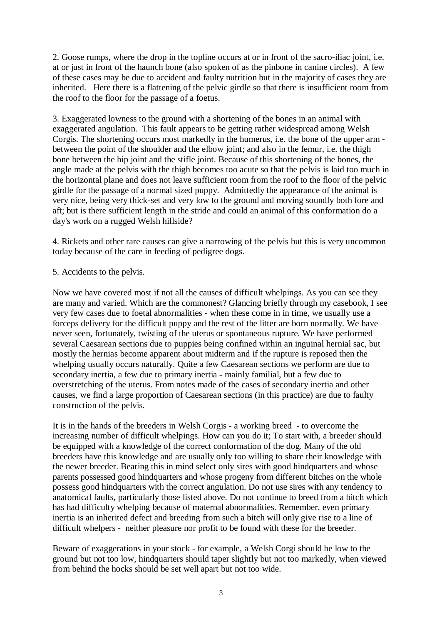2. Goose rumps, where the drop in the topline occurs at or in front of the sacro-iliac joint, i.e. at or just in front of the haunch bone (also spoken of as the pinbone in canine circles). A few of these cases may be due to accident and faulty nutrition but in the majority of cases they are inherited. Here there is a flattening of the pelvic girdle so that there is insufficient room from the roof to the floor for the passage of a foetus.

3. Exaggerated lowness to the ground with a shortening of the bones in an animal with exaggerated angulation. This fault appears to be getting rather widespread among Welsh Corgis. The shortening occurs most markedly in the humerus, i.e. the bone of the upper arm between the point of the shoulder and the elbow joint; and also in the femur, i.e. the thigh bone between the hip joint and the stifle joint. Because of this shortening of the bones, the angle made at the pelvis with the thigh becomes too acute so that the pelvis is laid too much in the horizontal plane and does not leave sufficient room from the roof to the floor of the pelvic girdle for the passage of a normal sized puppy. Admittedly the appearance of the animal is very nice, being very thick-set and very low to the ground and moving soundly both fore and aft; but is there sufficient length in the stride and could an animal of this conformation do a day's work on a rugged Welsh hillside?

4. Rickets and other rare causes can give a narrowing of the pelvis but this is very uncommon today because of the care in feeding of pedigree dogs.

## 5. Accidents to the pelvis.

Now we have covered most if not all the causes of difficult whelpings. As you can see they are many and varied. Which are the commonest? Glancing briefly through my casebook, I see very few cases due to foetal abnormalities - when these come in in time, we usually use a forceps delivery for the difficult puppy and the rest of the litter are born normally. We have never seen, fortunately, twisting of the uterus or spontaneous rupture. We have performed several Caesarean sections due to puppies being confined within an inguinal hernial sac, but mostly the hernias become apparent about midterm and if the rupture is reposed then the whelping usually occurs naturally. Quite a few Caesarean sections we perform are due to secondary inertia, a few due to primary inertia - mainly familial, but a few due to overstretching of the uterus. From notes made of the cases of secondary inertia and other causes, we find a large proportion of Caesarean sections (in this practice) are due to faulty construction of the pelvis.

It is in the hands of the breeders in Welsh Corgis - a working breed - to overcome the increasing number of difficult whelpings. How can you do it; To start with, a breeder should be equipped with a knowledge of the correct conformation of the dog. Many of the old breeders have this knowledge and are usually only too willing to share their knowledge with the newer breeder. Bearing this in mind select only sires with good hindquarters and whose parents possessed good hindquarters and whose progeny from different bitches on the whole possess good hindquarters with the correct angulation. Do not use sires with any tendency to anatomical faults, particularly those listed above. Do not continue to breed from a bitch which has had difficulty whelping because of maternal abnormalities. Remember, even primary inertia is an inherited defect and breeding from such a bitch will only give rise to a line of difficult whelpers - neither pleasure nor profit to be found with these for the breeder.

Beware of exaggerations in your stock - for example, a Welsh Corgi should be low to the ground but not too low, hindquarters should taper slightly but not too markedly, when viewed from behind the hocks should be set well apart but not too wide.